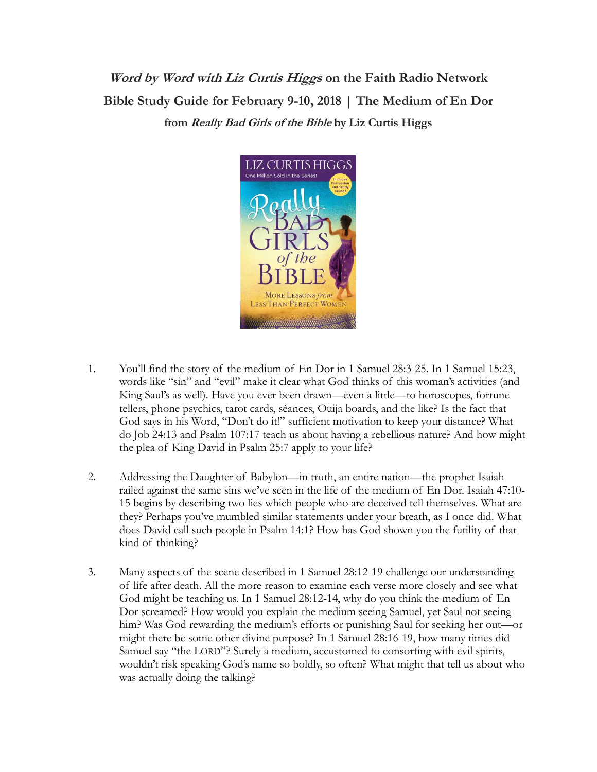**Word by Word with Liz Curtis Higgs on the Faith Radio Network Bible Study Guide for February 9-10, 2018 | The Medium of En Dor from Really Bad Girls of the Bible by Liz Curtis Higgs**



- 1. You'll find the story of the medium of En Dor in 1 Samuel 28:3-25. In 1 Samuel 15:23, words like "sin" and "evil" make it clear what God thinks of this woman's activities (and King Saul's as well). Have you ever been drawn—even a little—to horoscopes, fortune tellers, phone psychics, tarot cards, séances, Ouija boards, and the like? Is the fact that God says in his Word, "Don't do it!" sufficient motivation to keep your distance? What do Job 24:13 and Psalm 107:17 teach us about having a rebellious nature? And how might the plea of King David in Psalm 25:7 apply to your life?
- 2. Addressing the Daughter of Babylon—in truth, an entire nation—the prophet Isaiah railed against the same sins we've seen in the life of the medium of En Dor. Isaiah 47:10- 15 begins by describing two lies which people who are deceived tell themselves. What are they? Perhaps you've mumbled similar statements under your breath, as I once did. What does David call such people in Psalm 14:1? How has God shown you the futility of that kind of thinking?
- 3. Many aspects of the scene described in 1 Samuel 28:12-19 challenge our understanding of life after death. All the more reason to examine each verse more closely and see what God might be teaching us. In 1 Samuel 28:12-14, why do you think the medium of En Dor screamed? How would you explain the medium seeing Samuel, yet Saul not seeing him? Was God rewarding the medium's efforts or punishing Saul for seeking her out—or might there be some other divine purpose? In 1 Samuel 28:16-19, how many times did Samuel say "the LORD"? Surely a medium, accustomed to consorting with evil spirits, wouldn't risk speaking God's name so boldly, so often? What might that tell us about who was actually doing the talking?